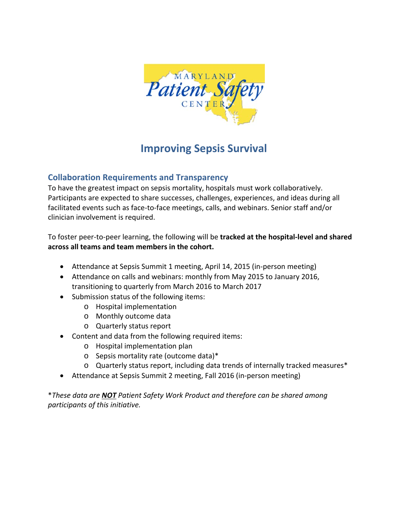

## **Improving Sepsis Survival**

## **Collaboration Requirements and Transparency**

To have the greatest impact on sepsis mortality, hospitals must work collaboratively. Participants are expected to share successes, challenges, experiences, and ideas during all facilitated events such as face-to-face meetings, calls, and webinars. Senior staff and/or clinician involvement is required.

To foster peer‐to‐peer learning, the following will be **tracked at the hospital‐level and shared across all teams and team members in the cohort.**

- Attendance at Sepsis Summit 1 meeting, April 14, 2015 (in-person meeting)
- Attendance on calls and webinars: monthly from May 2015 to January 2016, transitioning to quarterly from March 2016 to March 2017
- Submission status of the following items:
	- o Hospital implementation
	- o Monthly outcome data
	- o Quarterly status report
- Content and data from the following required items:
	- o Hospital implementation plan
	- o Sepsis mortality rate (outcome data)\*
	- o Quarterly status report, including data trends of internally tracked measures\*
- Attendance at Sepsis Summit 2 meeting, Fall 2016 (in-person meeting)

\**These data are NOT Patient Safety Work Product and therefore can be shared among participants of this initiative.*